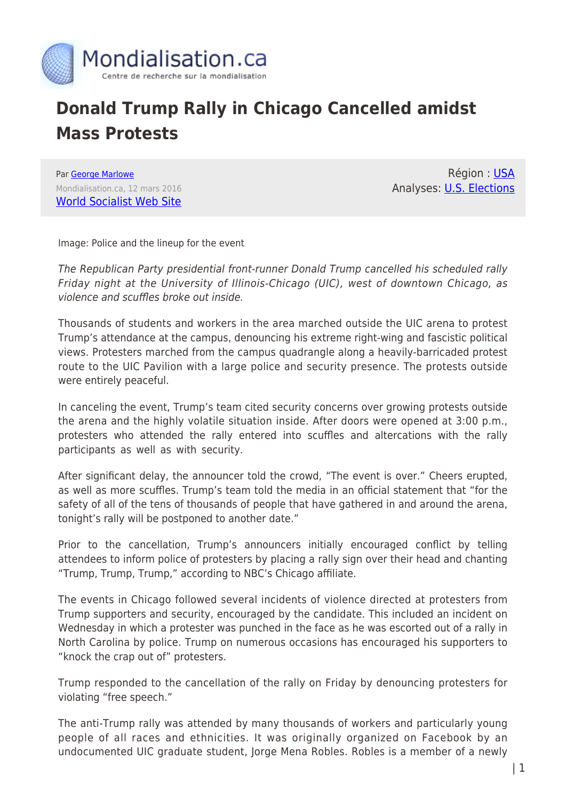

## **Donald Trump Rally in Chicago Cancelled amidst Mass Protests**

Par [George Marlowe](https://www.mondialisation.ca/author/george-marlowe) Mondialisation.ca, 12 mars 2016 [World Socialist Web Site](http://www.wsws.org/en/articles/2016/03/12/trum-m12.html)

Région : [USA](https://www.mondialisation.ca/region/usa) Analyses: [U.S. Elections](https://www.mondialisation.ca/indepthreport/u-s-elections)

Image: Police and the lineup for the event

The Republican Party presidential front-runner Donald Trump cancelled his scheduled rally Friday night at the University of Illinois-Chicago (UIC), west of downtown Chicago, as violence and scuffles broke out inside.

Thousands of students and workers in the area marched outside the UIC arena to protest Trump's attendance at the campus, denouncing his extreme right-wing and fascistic political views. Protesters marched from the campus quadrangle along a heavily-barricaded protest route to the UIC Pavilion with a large police and security presence. The protests outside were entirely peaceful.

In canceling the event, Trump's team cited security concerns over growing protests outside the arena and the highly volatile situation inside. After doors were opened at 3:00 p.m., protesters who attended the rally entered into scuffles and altercations with the rally participants as well as with security.

After significant delay, the announcer told the crowd, "The event is over." Cheers erupted, as well as more scuffles. Trump's team told the media in an official statement that "for the safety of all of the tens of thousands of people that have gathered in and around the arena, tonight's rally will be postponed to another date."

Prior to the cancellation, Trump's announcers initially encouraged conflict by telling attendees to inform police of protesters by placing a rally sign over their head and chanting "Trump, Trump, Trump," according to NBC's Chicago affiliate.

The events in Chicago followed several incidents of violence directed at protesters from Trump supporters and security, encouraged by the candidate. This included an incident on Wednesday in which a protester was punched in the face as he was escorted out of a rally in North Carolina by police. Trump on numerous occasions has encouraged his supporters to "knock the crap out of" protesters.

Trump responded to the cancellation of the rally on Friday by denouncing protesters for violating "free speech."

The anti-Trump rally was attended by many thousands of workers and particularly young people of all races and ethnicities. It was originally organized on Facebook by an undocumented UIC graduate student, Jorge Mena Robles. Robles is a member of a newly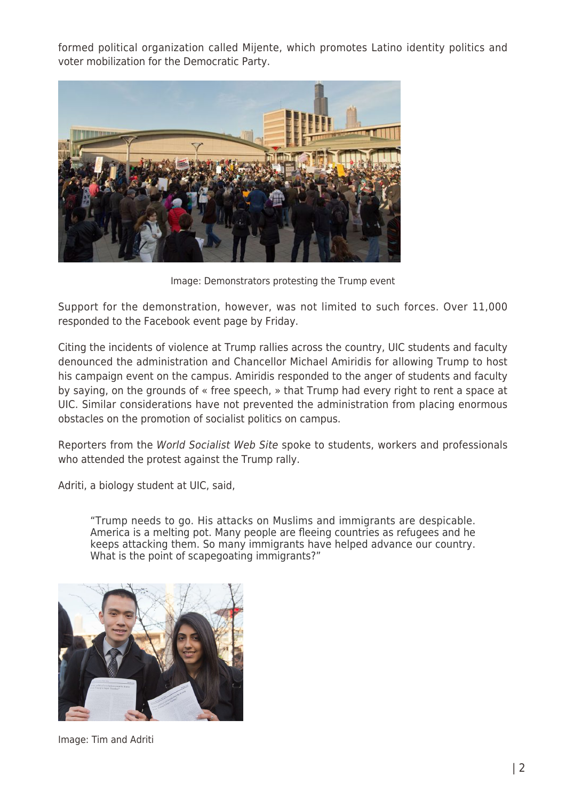formed political organization called Mijente, which promotes Latino identity politics and voter mobilization for the Democratic Party.



Image: Demonstrators protesting the Trump event

Support for the demonstration, however, was not limited to such forces. Over 11,000 responded to the Facebook event page by Friday.

Citing the incidents of violence at Trump rallies across the country, UIC students and faculty denounced the administration and Chancellor Michael Amiridis for allowing Trump to host his campaign event on the campus. Amiridis responded to the anger of students and faculty by saying, on the grounds of « free speech, » that Trump had every right to rent a space at UIC. Similar considerations have not prevented the administration from placing enormous obstacles on the promotion of socialist politics on campus.

Reporters from the World Socialist Web Site spoke to students, workers and professionals who attended the protest against the Trump rally.

Adriti, a biology student at UIC, said,

"Trump needs to go. His attacks on Muslims and immigrants are despicable. America is a melting pot. Many people are fleeing countries as refugees and he keeps attacking them. So many immigrants have helped advance our country. What is the point of scapegoating immigrants?"



Image: Tim and Adriti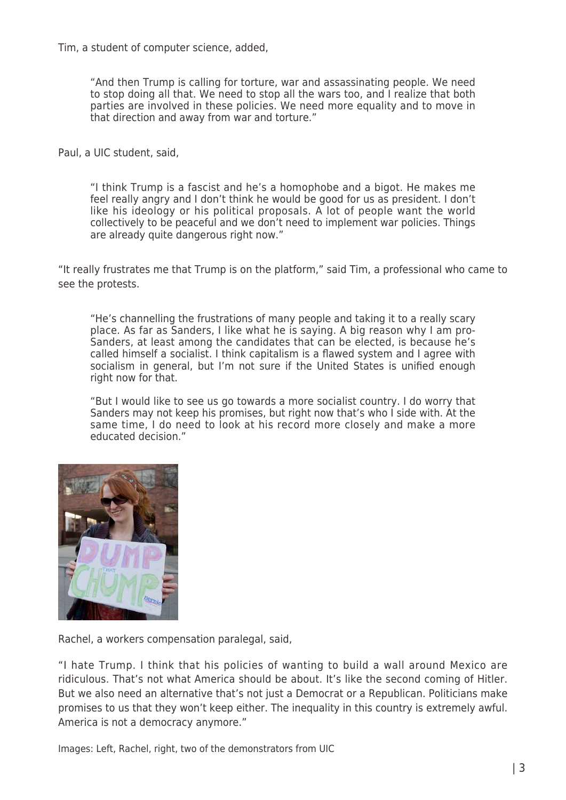Tim, a student of computer science, added,

"And then Trump is calling for torture, war and assassinating people. We need to stop doing all that. We need to stop all the wars too, and I realize that both parties are involved in these policies. We need more equality and to move in that direction and away from war and torture."

Paul, a UIC student, said,

"I think Trump is a fascist and he's a homophobe and a bigot. He makes me feel really angry and I don't think he would be good for us as president. I don't like his ideology or his political proposals. A lot of people want the world collectively to be peaceful and we don't need to implement war policies. Things are already quite dangerous right now."

"It really frustrates me that Trump is on the platform," said Tim, a professional who came to see the protests.

"He's channelling the frustrations of many people and taking it to a really scary place. As far as Sanders, I like what he is saying. A big reason why I am pro-Sanders, at least among the candidates that can be elected, is because he's called himself a socialist. I think capitalism is a flawed system and I agree with socialism in general, but I'm not sure if the United States is unified enough right now for that.

"But I would like to see us go towards a more socialist country. I do worry that Sanders may not keep his promises, but right now that's who I side with. At the same time, I do need to look at his record more closely and make a more educated decision."



Rachel, a workers compensation paralegal, said,

"I hate Trump. I think that his policies of wanting to build a wall around Mexico are ridiculous. That's not what America should be about. It's like the second coming of Hitler. But we also need an alternative that's not just a Democrat or a Republican. Politicians make promises to us that they won't keep either. The inequality in this country is extremely awful. America is not a democracy anymore."

Images: Left, Rachel, right, two of the demonstrators from UIC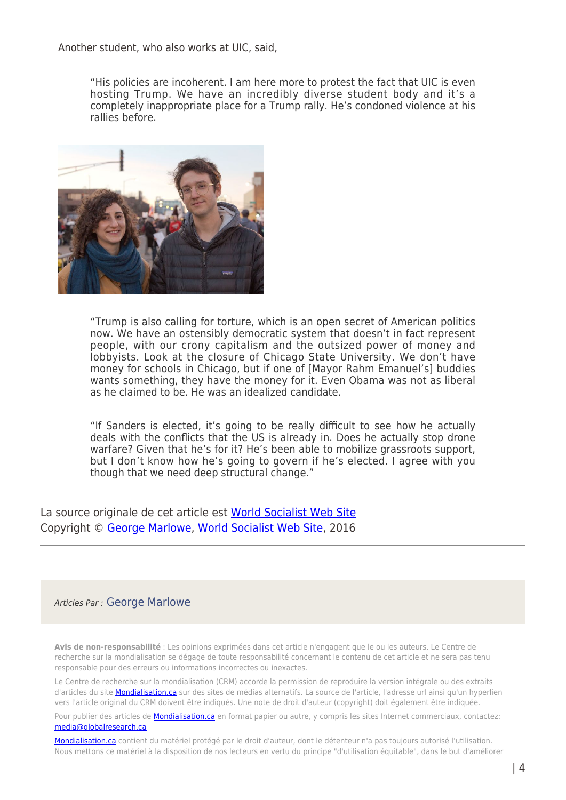Another student, who also works at UIC, said,

"His policies are incoherent. I am here more to protest the fact that UIC is even hosting Trump. We have an incredibly diverse student body and it's a completely inappropriate place for a Trump rally. He's condoned violence at his rallies before.



"Trump is also calling for torture, which is an open secret of American politics now. We have an ostensibly democratic system that doesn't in fact represent people, with our crony capitalism and the outsized power of money and lobbyists. Look at the closure of Chicago State University. We don't have money for schools in Chicago, but if one of [Mayor Rahm Emanuel's] buddies wants something, they have the money for it. Even Obama was not as liberal as he claimed to be. He was an idealized candidate.

"If Sanders is elected, it's going to be really difficult to see how he actually deals with the conflicts that the US is already in. Does he actually stop drone warfare? Given that he's for it? He's been able to mobilize grassroots support, but I don't know how he's going to govern if he's elected. I agree with you though that we need deep structural change."

La source originale de cet article est [World Socialist Web Site](http://www.wsws.org/en/articles/2016/03/12/trum-m12.html) Copyright © [George Marlowe](https://www.mondialisation.ca/author/george-marlowe), [World Socialist Web Site,](http://www.wsws.org/en/articles/2016/03/12/trum-m12.html) 2016

## Articles Par : [George Marlowe](https://www.mondialisation.ca/author/george-marlowe)

**Avis de non-responsabilité** : Les opinions exprimées dans cet article n'engagent que le ou les auteurs. Le Centre de recherche sur la mondialisation se dégage de toute responsabilité concernant le contenu de cet article et ne sera pas tenu responsable pour des erreurs ou informations incorrectes ou inexactes.

Le Centre de recherche sur la mondialisation (CRM) accorde la permission de reproduire la version intégrale ou des extraits d'articles du site [Mondialisation.ca](https://mondialisation.ca) sur des sites de médias alternatifs. La source de l'article, l'adresse url ainsi qu'un hyperlien vers l'article original du CRM doivent être indiqués. Une note de droit d'auteur (copyright) doit également être indiquée.

Pour publier des articles de **[Mondialisation.ca](https://mondialisation.ca)** en format papier ou autre, y compris les sites Internet commerciaux, contactez: [media@globalresearch.ca](mailto:media@globalresearch.ca)

[Mondialisation.ca](https://mondialisation.ca) contient du matériel protégé par le droit d'auteur, dont le détenteur n'a pas toujours autorisé l'utilisation. Nous mettons ce matériel à la disposition de nos lecteurs en vertu du principe "d'utilisation équitable", dans le but d'améliorer